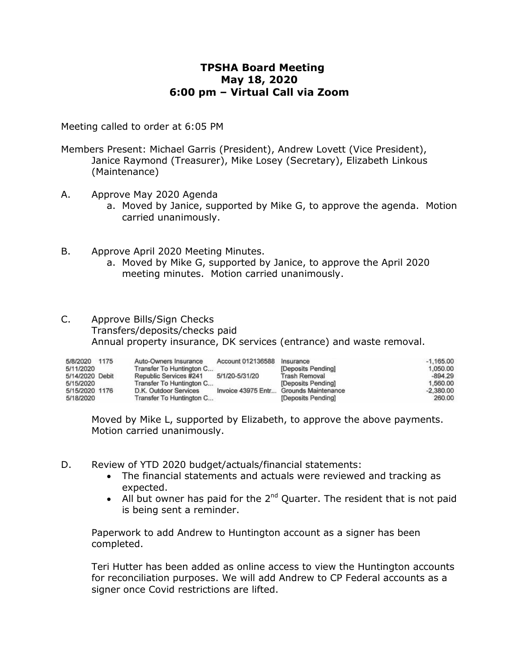# **TPSHA Board Meeting May 18, 2020 6:00 pm – Virtual Call via Zoom**

Meeting called to order at 6:05 PM

- Members Present: Michael Garris (President), Andrew Lovett (Vice President), Janice Raymond (Treasurer), Mike Losey (Secretary), Elizabeth Linkous (Maintenance)
- A. Approve May 2020 Agenda
	- a. Moved by Janice, supported by Mike G, to approve the agenda. Motion carried unanimously.
- B. Approve April 2020 Meeting Minutes.
	- a. Moved by Mike G, supported by Janice, to approve the April 2020 meeting minutes. Motion carried unanimously.
- C. Approve Bills/Sign Checks Transfers/deposits/checks paid Annual property insurance, DK services (entrance) and waste removal.

| 5/8/2020 1175   | Auto-Owners Insurance    | Account 012136588 | Insurance                              | $-1.165.00$ |
|-----------------|--------------------------|-------------------|----------------------------------------|-------------|
| 5/11/2020       | Transfer To Huntington C |                   | [Deposits Pending]                     | 1.050.00    |
| 5/14/2020 Debit | Republic Services #241   | 5/1/20-5/31/20    | <b>Trash Removal</b>                   | $-894.29$   |
| 5/15/2020       | Transfer To Huntington C |                   | [Deposits Pending]                     | 1.560.00    |
| 5/15/2020 1176  | D.K. Outdoor Services    |                   | Invoice 43975 Entr Grounds Maintenance | $-2.380.00$ |
| 5/18/2020       | Transfer To Huntington C |                   | [Deposits Pending]                     | 260.00      |

Moved by Mike L, supported by Elizabeth, to approve the above payments. Motion carried unanimously.

- D. Review of YTD 2020 budget/actuals/financial statements:
	- The financial statements and actuals were reviewed and tracking as expected.
	- All but owner has paid for the  $2^{nd}$  Quarter. The resident that is not paid is being sent a reminder.

Paperwork to add Andrew to Huntington account as a signer has been completed.

Teri Hutter has been added as online access to view the Huntington accounts for reconciliation purposes. We will add Andrew to CP Federal accounts as a signer once Covid restrictions are lifted.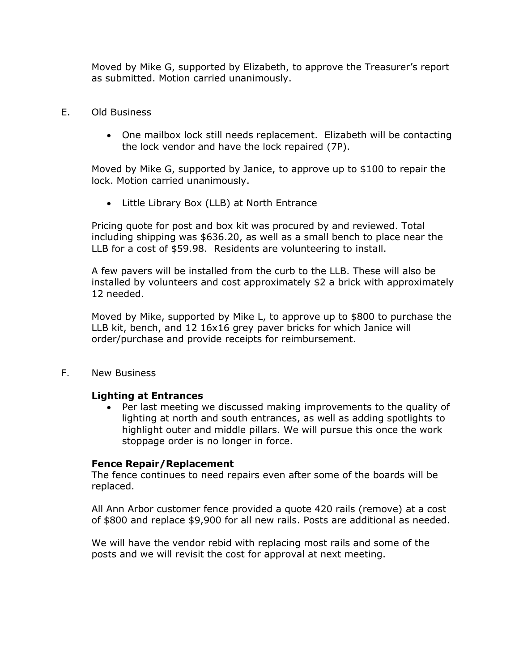Moved by Mike G, supported by Elizabeth, to approve the Treasurer's report as submitted. Motion carried unanimously.

- E. Old Business
	- One mailbox lock still needs replacement. Elizabeth will be contacting the lock vendor and have the lock repaired (7P).

Moved by Mike G, supported by Janice, to approve up to \$100 to repair the lock. Motion carried unanimously.

Little Library Box (LLB) at North Entrance

Pricing quote for post and box kit was procured by and reviewed. Total including shipping was \$636.20, as well as a small bench to place near the LLB for a cost of \$59.98. Residents are volunteering to install.

A few pavers will be installed from the curb to the LLB. These will also be installed by volunteers and cost approximately \$2 a brick with approximately 12 needed.

Moved by Mike, supported by Mike L, to approve up to \$800 to purchase the LLB kit, bench, and 12 16x16 grey paver bricks for which Janice will order/purchase and provide receipts for reimbursement.

F. New Business

#### **Lighting at Entrances**

 Per last meeting we discussed making improvements to the quality of lighting at north and south entrances, as well as adding spotlights to highlight outer and middle pillars. We will pursue this once the work stoppage order is no longer in force.

#### **Fence Repair/Replacement**

The fence continues to need repairs even after some of the boards will be replaced.

All Ann Arbor customer fence provided a quote 420 rails (remove) at a cost of \$800 and replace \$9,900 for all new rails. Posts are additional as needed.

We will have the vendor rebid with replacing most rails and some of the posts and we will revisit the cost for approval at next meeting.